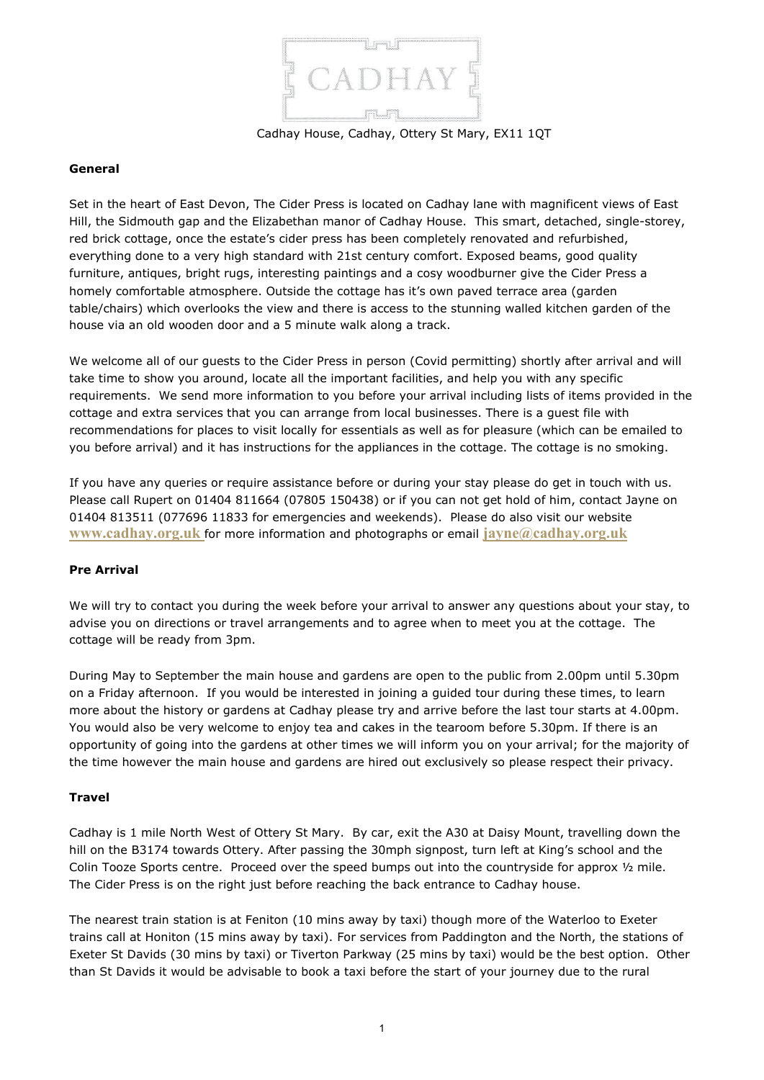

Cadhay House, Cadhay, Ottery St Mary, EX11 1QT

### **General**

Set in the heart of East Devon, The Cider Press is located on Cadhay lane with magnificent views of East Hill, the Sidmouth gap and the Elizabethan manor of Cadhay House. This smart, detached, single-storey, red brick cottage, once the estate's cider press has been completely renovated and refurbished, everything done to a very high standard with 21st century comfort. Exposed beams, good quality furniture, antiques, bright rugs, interesting paintings and a cosy woodburner give the Cider Press a homely comfortable atmosphere. Outside the cottage has it's own paved terrace area (garden table/chairs) which overlooks the view and there is access to the stunning walled kitchen garden of the house via an old wooden door and a 5 minute walk along a track.

We welcome all of our guests to the Cider Press in person (Covid permitting) shortly after arrival and will take time to show you around, locate all the important facilities, and help you with any specific requirements. We send more information to you before your arrival including lists of items provided in the cottage and extra services that you can arrange from local businesses. There is a guest file with recommendations for places to visit locally for essentials as well as for pleasure (which can be emailed to you before arrival) and it has instructions for the appliances in the cottage. The cottage is no smoking.

If you have any queries or require assistance before or during your stay please do get in touch with us. Please call Rupert on 01404 811664 (07805 150438) or if you can not get hold of him, contact Jayne on 01404 813511 (077696 11833 for emergencies and weekends). Please do also visit our website **[www.cadhay.org.uk](http://www.cadhay.org.uk/)** for more information and photographs or email **[jayne@cadhay.org.uk](mailto:jayne@cadhay.org.uk)**

### **Pre Arrival**

We will try to contact you during the week before your arrival to answer any questions about your stay, to advise you on directions or travel arrangements and to agree when to meet you at the cottage. The cottage will be ready from 3pm.

During May to September the main house and gardens are open to the public from 2.00pm until 5.30pm on a Friday afternoon. If you would be interested in joining a guided tour during these times, to learn more about the history or gardens at Cadhay please try and arrive before the last tour starts at 4.00pm. You would also be very welcome to enjoy tea and cakes in the tearoom before 5.30pm. If there is an opportunity of going into the gardens at other times we will inform you on your arrival; for the majority of the time however the main house and gardens are hired out exclusively so please respect their privacy.

### **Travel**

Cadhay is 1 mile North West of Ottery St Mary. By car, exit the A30 at Daisy Mount, travelling down the hill on the B3174 towards Ottery. After passing the 30mph signpost, turn left at King's school and the Colin Tooze Sports centre. Proceed over the speed bumps out into the countryside for approx  $\frac{1}{2}$  mile. The Cider Press is on the right just before reaching the back entrance to Cadhay house.

The nearest train station is at Feniton (10 mins away by taxi) though more of the Waterloo to Exeter trains call at Honiton (15 mins away by taxi). For services from Paddington and the North, the stations of Exeter St Davids (30 mins by taxi) or Tiverton Parkway (25 mins by taxi) would be the best option. Other than St Davids it would be advisable to book a taxi before the start of your journey due to the rural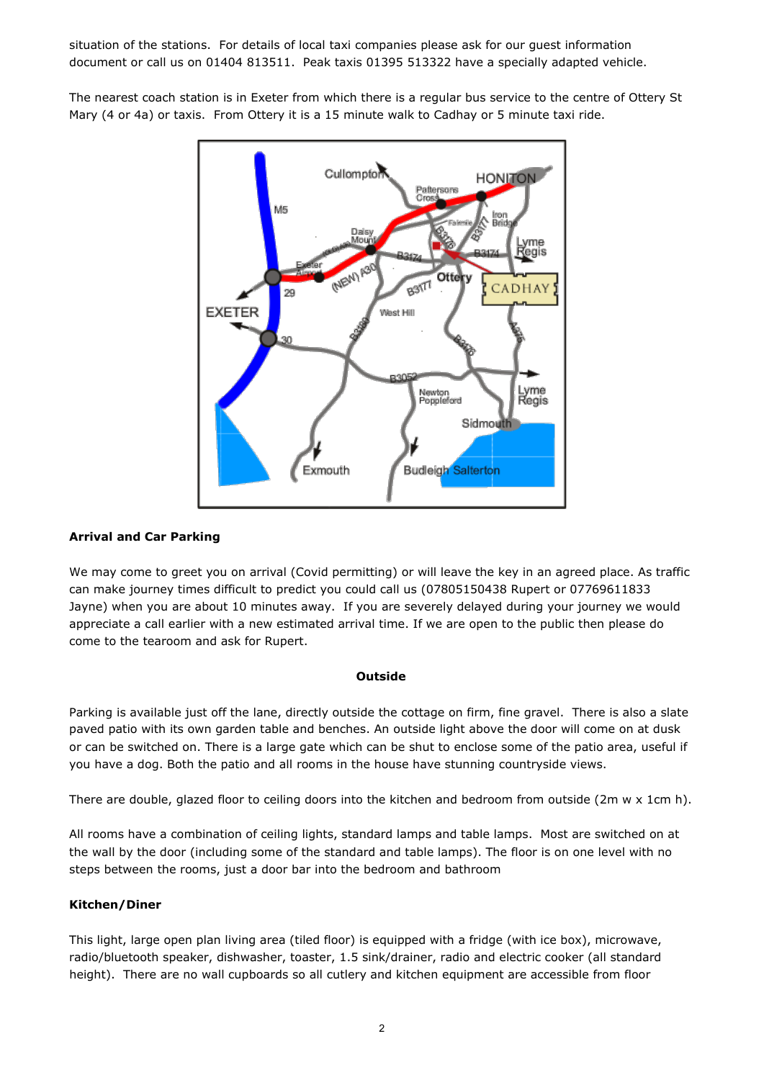situation of the stations. For details of local taxi companies please ask for our guest information document or call us on 01404 813511. Peak taxis 01395 513322 have a specially adapted vehicle.

The nearest coach station is in Exeter from which there is a regular bus service to the centre of Ottery St Mary (4 or 4a) or taxis. From Ottery it is a 15 minute walk to Cadhay or 5 minute taxi ride.



## **Arrival and Car Parking**

We may come to greet you on arrival (Covid permitting) or will leave the key in an agreed place. As traffic can make journey times difficult to predict you could call us (07805150438 Rupert or 07769611833 Jayne) when you are about 10 minutes away. If you are severely delayed during your journey we would appreciate a call earlier with a new estimated arrival time. If we are open to the public then please do come to the tearoom and ask for Rupert.

### **Outside**

Parking is available just off the lane, directly outside the cottage on firm, fine gravel. There is also a slate paved patio with its own garden table and benches. An outside light above the door will come on at dusk or can be switched on. There is a large gate which can be shut to enclose some of the patio area, useful if you have a dog. Both the patio and all rooms in the house have stunning countryside views.

There are double, glazed floor to ceiling doors into the kitchen and bedroom from outside (2m  $w \times 1$ cm h).

All rooms have a combination of ceiling lights, standard lamps and table lamps. Most are switched on at the wall by the door (including some of the standard and table lamps). The floor is on one level with no steps between the rooms, just a door bar into the bedroom and bathroom

### **Kitchen/Diner**

This light, large open plan living area (tiled floor) is equipped with a fridge (with ice box), microwave, radio/bluetooth speaker, dishwasher, toaster, 1.5 sink/drainer, radio and electric cooker (all standard height). There are no wall cupboards so all cutlery and kitchen equipment are accessible from floor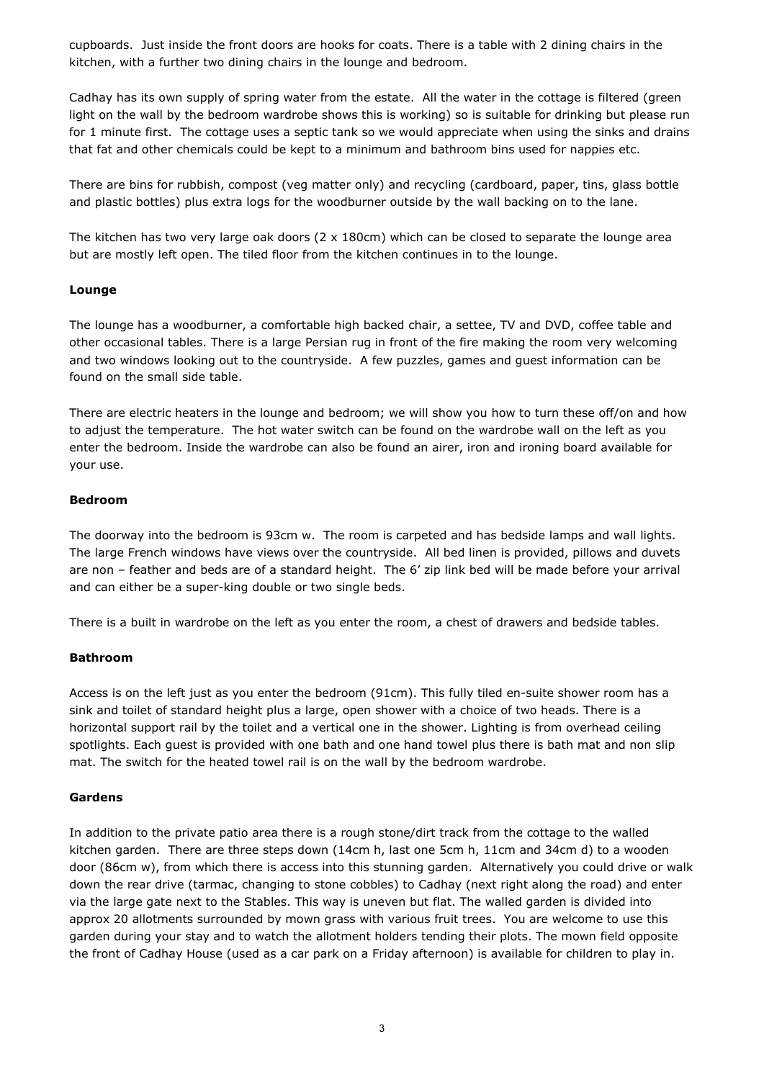cupboards. Just inside the front doors are hooks for coats. There is a table with 2 dining chairs in the kitchen, with a further two dining chairs in the lounge and bedroom.

Cadhay has its own supply of spring water from the estate. All the water in the cottage is filtered (green light on the wall by the bedroom wardrobe shows this is working) so is suitable for drinking but please run for 1 minute first. The cottage uses a septic tank so we would appreciate when using the sinks and drains that fat and other chemicals could be kept to a minimum and bathroom bins used for nappies etc.

There are bins for rubbish, compost (veg matter only) and recycling (cardboard, paper, tins, glass bottle and plastic bottles) plus extra logs for the woodburner outside by the wall backing on to the lane.

The kitchen has two very large oak doors (2 x 180cm) which can be closed to separate the lounge area but are mostly left open. The tiled floor from the kitchen continues in to the lounge.

# **Lounge**

The lounge has a woodburner, a comfortable high backed chair, a settee, TV and DVD, coffee table and other occasional tables. There is a large Persian rug in front of the fire making the room very welcoming and two windows looking out to the countryside. A few puzzles, games and guest information can be found on the small side table.

There are electric heaters in the lounge and bedroom; we will show you how to turn these off/on and how to adjust the temperature. The hot water switch can be found on the wardrobe wall on the left as you enter the bedroom. Inside the wardrobe can also be found an airer, iron and ironing board available for your use.

### **Bedroom**

The doorway into the bedroom is 93cm w. The room is carpeted and has bedside lamps and wall lights. The large French windows have views over the countryside. All bed linen is provided, pillows and duvets are non – feather and beds are of a standard height. The 6' zip link bed will be made before your arrival and can either be a super-king double or two single beds.

There is a built in wardrobe on the left as you enter the room, a chest of drawers and bedside tables.

### **Bathroom**

Access is on the left just as you enter the bedroom (91cm). This fully tiled en-suite shower room has a sink and toilet of standard height plus a large, open shower with a choice of two heads. There is a horizontal support rail by the toilet and a vertical one in the shower. Lighting is from overhead ceiling spotlights. Each guest is provided with one bath and one hand towel plus there is bath mat and non slip mat. The switch for the heated towel rail is on the wall by the bedroom wardrobe.

# **Gardens**

In addition to the private patio area there is a rough stone/dirt track from the cottage to the walled kitchen garden. There are three steps down (14cm h, last one 5cm h, 11cm and 34cm d) to a wooden door (86cm w), from which there is access into this stunning garden. Alternatively you could drive or walk down the rear drive (tarmac, changing to stone cobbles) to Cadhay (next right along the road) and enter via the large gate next to the Stables. This way is uneven but flat. The walled garden is divided into approx 20 allotments surrounded by mown grass with various fruit trees. You are welcome to use this garden during your stay and to watch the allotment holders tending their plots. The mown field opposite the front of Cadhay House (used as a car park on a Friday afternoon) is available for children to play in.